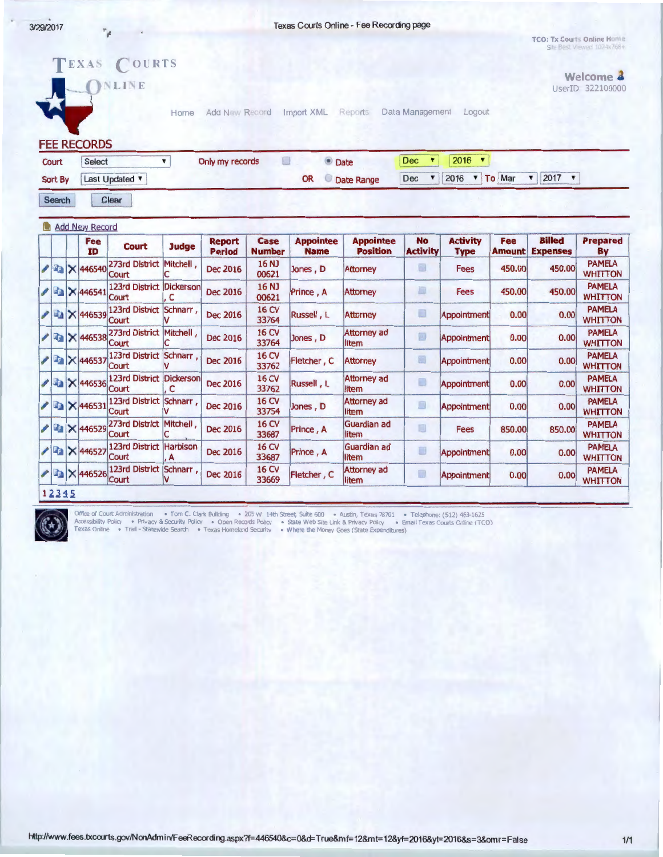$\ ^{p}\!$   $\mu$ 

TCO: Tx Courts Online Home Site Best Viewed 102-tx768+

|              |  | v<br><b>FEE RECORDS</b>           | TEXAS COURTS<br>NLINE             | Home                 | Add New Record                 |                       | Import XML                      | Reports                             | Data Management              | Logout                         |                      |                                   | Welcome 4<br>UserID 322100000   |
|--------------|--|-----------------------------------|-----------------------------------|----------------------|--------------------------------|-----------------------|---------------------------------|-------------------------------------|------------------------------|--------------------------------|----------------------|-----------------------------------|---------------------------------|
| Court        |  | Select                            |                                   | $\pmb{\mathrm{v}}$   | Only my records                | 圓                     | <b>O</b> Date                   |                                     | <b>Dec</b><br>۷              | 2016<br>$\blacktriangledown$   |                      |                                   |                                 |
| Sort By      |  | Last Updated                      |                                   |                      | <b>OR</b>                      |                       |                                 | Date Range                          | Dec<br>▼                     | 2016<br>$\blacktriangledown$   | To Mar               | 2017<br>$\blacktriangledown$<br>▼ |                                 |
| Search       |  |                                   | Clear                             |                      |                                |                       |                                 |                                     |                              |                                |                      |                                   |                                 |
|              |  | <b>Add New Record</b>             |                                   |                      |                                |                       |                                 |                                     |                              |                                |                      |                                   |                                 |
|              |  | <b>Fee</b><br><b>ID</b>           | <b>Court</b>                      | Judge                | <b>Report</b><br><b>Period</b> | Case<br><b>Number</b> | <b>Appointee</b><br><b>Name</b> | <b>Appointee</b><br><b>Position</b> | <b>No</b><br><b>Activity</b> | <b>Activity</b><br><b>Type</b> | Fee<br><b>Amount</b> | <b>Billed</b><br><b>Expenses</b>  | <b>Prepared</b><br>By           |
|              |  | $2$ $\frac{2}{3}$ $\times$ 446540 | 273rd District<br>Court           | <b>Mitchell</b>      | <b>Dec 2016</b>                | 16 NJ<br>00621        | Jones, D                        | <b>Attorney</b>                     | B                            | Fees                           | 450.00               | 450.00                            | <b>PAMELA</b><br><b>WHITTON</b> |
|              |  | $\sim$ 446541                     | 123rd District Dickerson<br>Court | C                    | <b>Dec 2016</b>                | 16 NJ<br>00621        | Prince, A                       | Attorney                            | 國                            | Fees                           | 450,00               | 450.00                            | <b>PAMELA</b><br><b>WHITTON</b> |
|              |  | <b>Tal X 446539</b>               | 123rd District Schnarr,<br>Court  |                      | Dec 2016                       | <b>16 CV</b><br>33764 | Russell, L                      | <b>Attorney</b>                     | o                            | Appointment                    | 0.00                 | 0.00                              | <b>PAMELA</b><br><b>WHITTON</b> |
|              |  | <b>/ 446538</b>                   | 273rd District Mitchell,<br>Court |                      | Dec 2016                       | 16 CV<br>33764        | Jones, D                        | <b>Attorney ad</b><br>litem         | 圓                            | Appointment                    | 0.00                 | 0.00                              | <b>PAMELA</b><br><b>WHITTON</b> |
| $\mathbb{F}$ |  | X 446537                          | 123rd District Schnarr,<br>Court  |                      | <b>Dec 2016</b>                | 16 CV<br>33762        | Fletcher, C                     | <b>Attorney</b>                     | 圓                            | <b>Appointment</b>             | 0.00                 | 0.00                              | <b>PAMELA</b><br><b>WHITTON</b> |
|              |  | X 446536                          | 123rd District Dickerson<br>Court | c                    | <b>Dec 2016</b>                | 16 CV<br>33762        | Russell, L                      | <b>Attorney ad</b><br>litem         | $\Box$                       | Appointment                    | 0.00                 | 0.00                              | <b>PAMELA</b><br><b>WHITTON</b> |
|              |  | <b>Ta</b> X 446531                | 123rd District Schnarr.<br>Court  |                      | <b>Dec 2016</b>                | 16 CV<br>33754        | Jones, D                        | <b>Attorney ad</b><br>litem         | B                            | Appointment                    | 0.00                 | 0.00                              | <b>PAMELA</b><br><b>WHITTON</b> |
|              |  | <b>Ex 446529</b>                  | 273rd District Mitchell.<br>Court |                      | <b>Dec 2016</b>                | <b>16 CV</b><br>33687 | Prince, A                       | Guardian ad<br>llitem               | 目                            | <b>Fees</b>                    | 850.00               | 850.00                            | <b>PAMELA</b><br><b>WHITTON</b> |
|              |  | <b>/ ■ × 446527</b>               | 123rd District<br>Court           | <b>Harbison</b><br>A | <b>Dec 2016</b>                | <b>16 CV</b><br>33687 | Prince, A                       | Guardian ad<br>litem                | ▦                            | Appointment                    | 0.00                 | 0.00                              | <b>PAMELA</b><br><b>WHITTON</b> |
|              |  | X 446526                          | 123rd District Schnarr,<br>Court  | v                    | <b>Dec 2016</b>                | 16 CV<br>33669        | Fletcher, C                     | <b>Attorney ad</b><br>litem         | 围                            | Appointment                    | 0.00                 | 0.00                              | <b>PAMELA</b><br><b>WHITTON</b> |
| 12345        |  |                                   |                                   |                      |                                |                       |                                 |                                     |                              |                                |                      |                                   |                                 |



·- . ~ - - OffK:e of C rt Ad llStrat >n • Tom C. Clar1< Build '19 • lO~ W !·Ith Street Swte 6\:,, • AU't> T ~ 78701 • Teleph<,nc· (S.2 463-1625

Accessibility Policy • Privacy & Security Policy • Open Records Policy • State Web Site Link & Privacy Policy • Email Texas Courts Online (TCO<br>Texas Online • Trail - Statewide Search • Texas Homeland Security • Where the M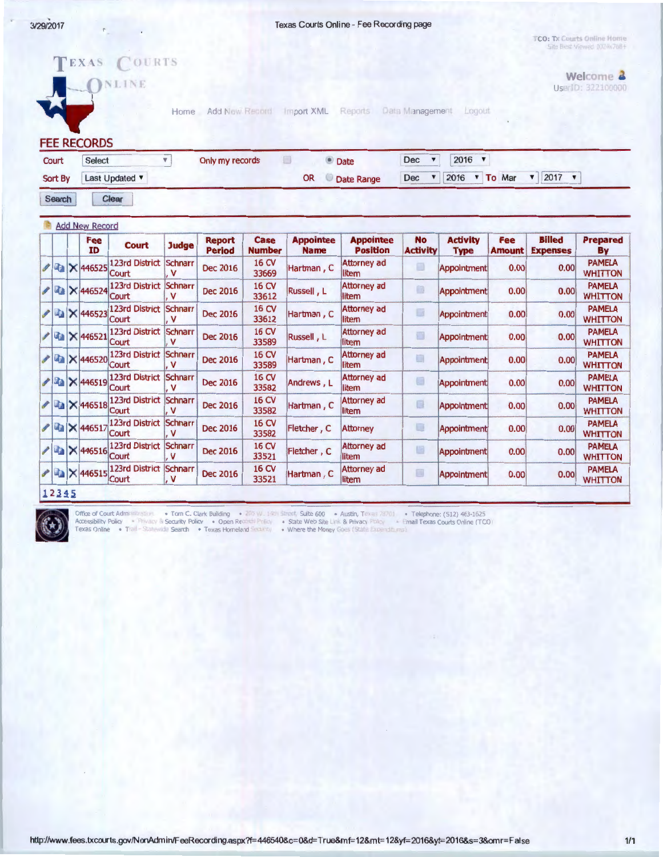**TCO: Tx Courts Online Home**<br>Site Best Viewed 1024x76B+





exas Online . Trail - Statewide Search . Texas Homeland Security . Where the Money Goes (State Expenditures)

http://www.fees.txcourts.gov/NonAdmin/FeeRecording.aspx?f=446540&c=O&d=True&mf=12&mt=12&yf=2016&yt=2016&s=3&omr=False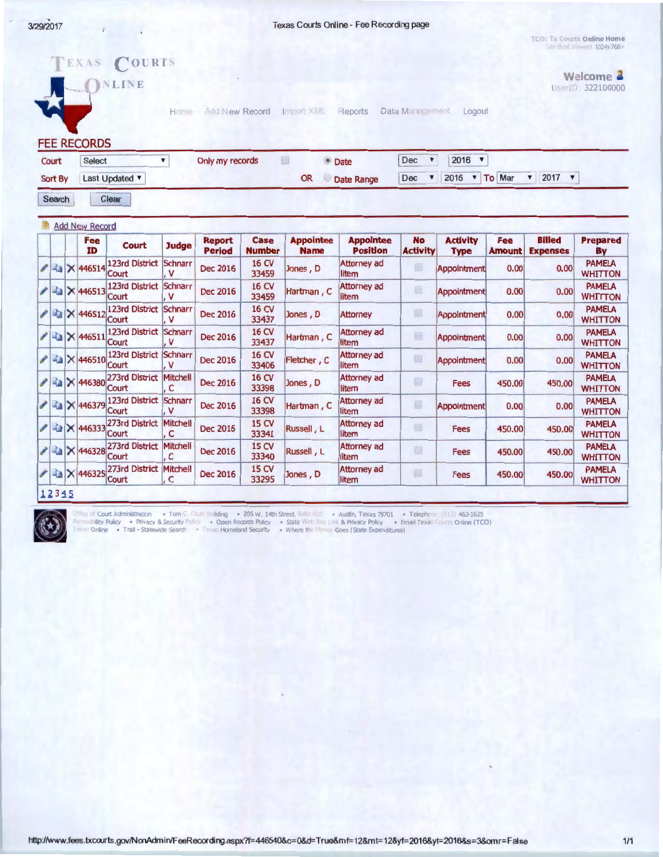Texas Courts Online - Fee Recording page

TCO: Tx Courts Online Home in Best Viewed 1024 768

COURTS EXAS **Welcome**   $NLINE$ UserID: 322100000 Home Add New Record Import XML Reports Data Management Logout **FEE RECORDS**  Court Select v 2016~ Only my records **Date** Dec **v** Sort By Last Updated  $\overline{v}$ OR Date Range Dec  $\triangledown$  2016  $\triangledown$  To Mar  $\triangledown$  2017  $\triangledown$ Search Clear Add New Record **Fee** Court Judge **Report Case Appointee Appointee No Activity Fee Billed Prepared Period Number Name Position Activity Type Amount Expenses By**  x 446514 <sup>123rd</sup> District Schnarr<br>Court , V<br>A De Mercel <sup>123rd</sup> District Schnarr Dec 2016  $\begin{array}{|c|c|c|c|c|}\n\hline\n & 16 \text{ CV} & \text{Jones} & \text{D} & \text{[Attoring} & \text{add} & \text{[appointment]} & 0.00 & 0.00 & \text{WHTTO} \\
\hline\n\end{array}$ Court , V  $33459$   $\begin{array}{|l|}\n\end{array}$   $\begin{array}{|l|}\n\end{array}$   $\begin{array}{|l|}\n\end{array}$   $\begin{array}{|l|}\n\end{array}$   $\begin{array}{|l|}\n\end{array}$   $\begin{array}{|l|}\n\end{array}$   $\begin{array}{|l|}\n\end{array}$   $\begin{array}{|l|}\n\end{array}$   $\begin{array}{|l|}\n\end{array}$ **2** ILQ × 446513 123rd District Schnarr<br>
2 ILQ × 446512 123rd District Schnarr<br>
2 ILQ × 446512 Court Dec 2016 16 CV Hartman , C Attorney ad Appointment 0.00 0.00 PAMELA **Court**  $33459$   $\phantom{0}\phantom{0}$   $\phantom{0}$   $\phantom{0}$   $\phantom{0}$   $\phantom{0}$   $\phantom{0}$   $\phantom{0}$   $\phantom{0}$   $\phantom{0}$   $\phantom{0}$   $\phantom{0}$   $\phantom{0}$   $\phantom{0}$   $\phantom{0}$   $\phantom{0}$   $\phantom{0}$   $\phantom{0}$   $\phantom{0}$   $\phantom{0}$   $\phantom{0}$   $\phantom{0}$   $\phantom{0}$   $\phantom{0}$  Dec 2016  $\begin{array}{c|c|c|c|c} 16 \text{CV} & \text{Jones} & \text{P} & \text{Attention} & \text{Approximate} \end{array}$  Appointment 0.00 0.00  $\begin{array}{c|c|c} \text{PAMELA} & \text{PAMELA} & \text{Approximate} \end{array}$  $\begin{array}{c} \mathbf{X} \rightarrow 446512 \begin{array}{c} \text{Count} \\ \text{Count} \end{array} \end{array} \begin{array}{c} \text{Number of the image} \\ \text{Number of the image} \end{array} \end{array}$ **Court**  $33437$  WHITTON **2 3 × 446511** 123rd District Schnarr<br>
2 3 × 446510 <sup>123rd</sup> District Schnarr Dec 2016 16 CV Hartman, C Attorney ad Appointment 0.00 0.00 PAMELA **Court** 33437 The bullet of the MHITTON CONTROL TO THE METHOD OF THE METHOD OF THE METHOD 123rd District Schnarr<br>Court , V **2 3 × 446510** 123rd District Schnarr<br>
2 3 × 446380 273rd District Mitchell Dec 2016 16 CV Fletcher , C  $\frac{\text{Attorney ad}}{\text{litom}}$  Appointment 0.00 0.00  $\frac{\text{PAMELA}}{\text{WHTTOV}}$  $33406$   $\phantom{0}\phantom{0}$   $\phantom{0}$   $\phantom{0}$   $\phantom{0}$   $\phantom{0}$   $\phantom{0}$   $\phantom{0}$   $\phantom{0}$   $\phantom{0}$   $\phantom{0}$   $\phantom{0}$   $\phantom{0}$   $\phantom{0}$   $\phantom{0}$   $\phantom{0}$   $\phantom{0}$   $\phantom{0}$   $\phantom{0}$   $\phantom{0}$   $\phantom{0}$   $\phantom{0}$   $\phantom{0}$   $\phantom{0}$   $\begin{array}{c} \mathcal{P} \xrightarrow{d_{\text{in}}} X \xrightarrow{446380} \begin{array}{l} \text{273rd District} \end{array} \\ \text{[C]} \begin{array}{c} \mathcal{P} \xrightarrow{d_{\text{in}}} X \xrightarrow{446379} \begin{array}{l} \text{123rd District} \end{array} \\ \text{[C)} \begin{array}{c} \text{[C)} \text{C} \end{array} \end{array} \end{array}$ Dec 2016  $\begin{array}{|c|c|c|c|c|c|}\n\hline\n 16 CV &\overline{) 53308} &\overline{) 50085} &\overline{) 0016} &\overline{) 00180} &\overline{) 00180} &\overline{) 00180} &\overline{) 00180} &\overline{) 00180} &\overline{) 00180} &\overline{) 00180} &\overline{) 00180} &\overline{) 00180} &\overline{) 00180} &\overline{) 00180} &\$ Court  $33398$   $\overline{\phantom{a}}$  litem  $\phantom{a}$   $\overline{\phantom{a}}$   $\overline{\phantom{a}}$   $\overline{\phantom{a}}$   $\overline{\phantom{a}}$   $\overline{\phantom{a}}$   $\overline{\phantom{a}}$   $\overline{\phantom{a}}$   $\overline{\phantom{a}}$   $\overline{\phantom{a}}$   $\overline{\phantom{a}}$   $\overline{\phantom{a}}$   $\overline{\phantom{a}}$   $\overline{\phantom{a}}$   $\overline{\phantom{a}}$   $\overline{\phantom{a}}$   $\overline{\phant$ x 446379 123rd District Schnarr<br>
Court , V<br>
x 446333 273rd District Mitchell Dec 2016  $\begin{array}{|c|c|c|c|c|}\n\hline\n & 16 \text{ CV} & \text{Hartman} & C & \text{Attorney ad} & \text{Appointment} & 0.00 & 0.00 & \text{WHTTO} \\
\hline\n\end{array}$ 33398 Hotel Hitem Herbert Hitem WHITTON  $\begin{array}{c}\n\mathcal{L}_{\text{max}} \times 446333 \begin{array}{c}\n\text{273rd District Mitchell} \\
\text{Count} \\
\text{16.}\n\end{array}\n\end{array}$ Dec 2016  $\begin{array}{|c|c|c|c|c|}\n\hline\n 15 \text{ CV} & \text{Russell, L} & \text{Attorney ad} & \text{Fees} & 450.00 & 450.00 & \text{WHTTO} \\
\hline\n\end{array}$ 33341 **litem** littlem expected to the series whitton  $\begin{array}{c} \mathcal{P} & \mathbb{Q}_a \times 446328 \frac{273rd \text{ District } \text{Mitchell}}{\text{Count }}, \\ \mathcal{P} & \mathcal{P} \times 446325 \frac{273rd \text{ District } \text{Mitchell}}{\text{Without }}, \end{array}$ Dec 2016  $\begin{array}{|c|c|c|c|c|}\n\hline\n 15 \text{ CV} & \text{Russell}, & \text{[Attoring add]} & \text{[Fees]} & \text{450.00} & \text{450.00} \\
\hline\n\end{array}$  $33340$   $\overline{\phantom{a}}$  litem  $\overline{\phantom{a}}$   $\overline{\phantom{a}}$   $\overline{\phantom{a}}$   $\overline{\phantom{a}}$   $\overline{\phantom{a}}$   $\overline{\phantom{a}}$   $\overline{\phantom{a}}$   $\overline{\phantom{a}}$   $\overline{\phantom{a}}$   $\overline{\phantom{a}}$   $\overline{\phantom{a}}$   $\overline{\phantom{a}}$   $\overline{\phantom{a}}$   $\overline{\phantom{a}}$   $\overline{\phantom{a}}$   $\overline{\phantom{a}}$   $\over$ 273rd District Mitchell<br>Court , C  $\ell$  ii.  $\times$  446325 <sup>273rd</sup> District Mitchell<br>12345 Dec 2016  $\begin{array}{|c|c|c|c|c|}\n\hline\n 15 CV & Jones, D & \text{[Attoring add]} & \text{Fees} & 450.00 & 450.00 & \text{WHTTO} \\
\hline\n\end{array}$ 33295 Concert Hitem and the second concert white white white white white white white white white white white white white white white white white white white white white white white white white white white white white white 12345



· Tom C. Clark Building . 205 W. 14th Street, Suite 600 . Austin, Texas 78701 . Telephone: (512) 463-1625 <sup>2</sup> Court Administration . Email Texas Courts Online (TCO)

bility Policy · Privacy & Security Policy · Open Records Policy · State Web Sitte Link & Privacy Policy · Enter<br>Online · Trail - Statewide Search · Texas Homeland Security · Where the Money Goes (State Expenditures) Online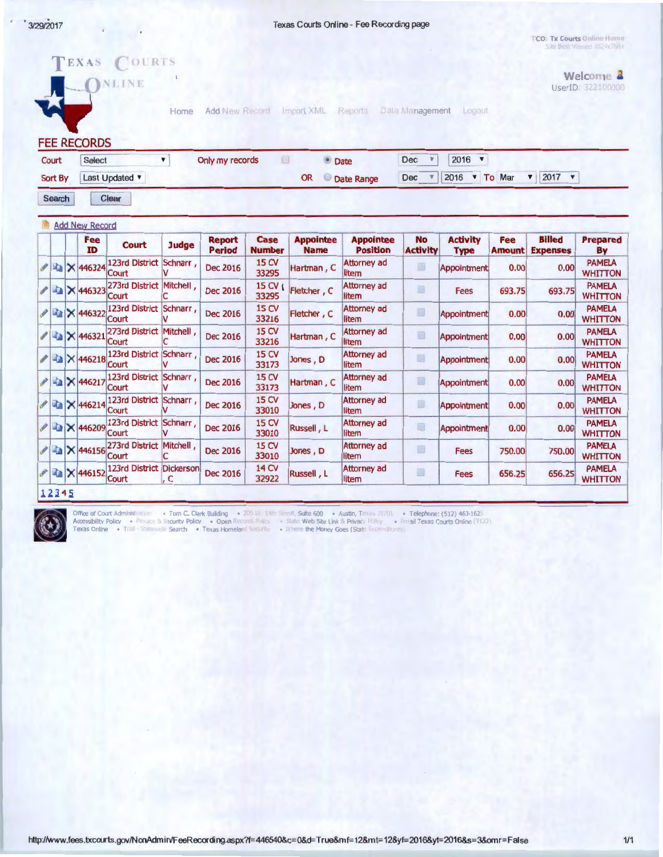Texas Courts Online - Fee Recording page

TCO: Tx Courts Online Home Site Best Viewed 102-W768+

> Welcome 2 UserID: 322100000

*INLINE* 

Logout Home Add New Record Import XML Reports Data Management

**FEE RECORDS** 

TEXAS COURTS

| Court | Select<br>Sort By Last Updated |  | Only my records |  | <b>Date</b><br>Date Range | $2016$ $\sqrt{ }$<br>$Dec \quad \mathbb{V}$                  |  |  |  |  |  |  |
|-------|--------------------------------|--|-----------------|--|---------------------------|--------------------------------------------------------------|--|--|--|--|--|--|
|       |                                |  |                 |  |                           | Dec $\vec{v}$ 2016 $\vec{v}$ To Mar $\vec{v}$ 2017 $\vec{v}$ |  |  |  |  |  |  |

Search Clear

|  | Fee<br>ID           | <b>Court</b>                             | <b>Judge</b> | <b>Report</b><br><b>Period</b> | Case<br><b>Number</b>       | <b>Appointee</b><br><b>Name</b> | <b>Appointee</b><br><b>Position</b> | <b>No</b><br><b>Activity</b> | <b>Activity</b><br><b>Type</b> | <b>Fee</b><br><b>Amount</b> | <b>Billed</b><br><b>Expenses</b> | <b>Prepared</b><br>By           |
|--|---------------------|------------------------------------------|--------------|--------------------------------|-----------------------------|---------------------------------|-------------------------------------|------------------------------|--------------------------------|-----------------------------|----------------------------------|---------------------------------|
|  | / 2 × 446324        | 123rd District Schnarr,<br>Court         |              | <b>Dec 2016</b>                | 15 CV<br>33295              | Hartman, C                      | Attorney ad<br>litem                | $\Box$                       | Appointment                    | 0.00                        | 0.00                             | <b>PAMELA</b><br><b>WHITTON</b> |
|  | 146323              | 273rd District<br>Court                  | Mitchell,    | <b>Dec 2016</b>                | $15$ CV $\epsilon$<br>33295 | Fletcher, C                     | Attorney ad<br>litem                | 画                            | <b>Fees</b>                    | 693.75                      | 693.75                           | <b>PAMELA</b><br><b>WHITTON</b> |
|  | <b>/ ■ × 446322</b> | 123rd District<br>Court                  | Schnarr,     | <b>Dec 2016</b>                | <b>15 CV</b><br>33216       | Fletcher, C                     | Attorney ad<br>litem                | IJ                           | Appointment                    | 0.00                        | 0.00                             | <b>PAMELA</b><br><b>WHITTON</b> |
|  | <b>/ 446321</b>     | 273rd District Mitchell,<br>Court        |              | <b>Dec 2016</b>                | <b>15 CV</b><br>33216       | Hartman, C                      | Attorney ad<br>litem                | ▣                            | Appointment                    | 0.00                        | 0.00                             | <b>PAMELA</b><br><b>WHITTON</b> |
|  | <b>X 446218</b>     | <b>123rd District</b><br>Court           | Schnarr,     | <b>Dec 2016</b>                | <b>15 CV</b><br>33173       | Jones, D                        | Attorney ad<br>litem                | D                            | <b>Appointment</b>             | 0.00                        | 0.00                             | <b>PAMELA</b><br><b>WHITTON</b> |
|  | <b>/ ■ × 446217</b> | 123rd District Schnarr,<br>Court         |              | <b>Dec 2016</b>                | <b>15 CV</b><br>33173       | Hartman, C                      | <b>Attorney ad</b><br>litem         | D                            | Appointment                    | 0.00                        | 0.00                             | <b>PAMELA</b><br><b>WHITTON</b> |
|  | <b>/ ■ × 446214</b> | 123rd District<br>Court                  | Schnarr      | <b>Dec 2016</b>                | <b>15 CV</b><br>33010       | Jones, D                        | Attorney ad<br>litem                | Đ                            | <b>Appointment</b>             | 0.00                        | 0.00                             | <b>PAMELA</b><br><b>WHITTON</b> |
|  | / 2 × 446209        | 123rd District<br>Court                  | Schnarr,     | <b>Dec 2016</b>                | 15 CV<br>33010              | Russell, L                      | Attorney ad<br>litem                | D                            | Appointment                    | 0.00                        | 0.00                             | <b>PAMELA</b><br><b>WHITTON</b> |
|  | <b>/ ■ × 446156</b> | 273rd District Mitchell,<br><b>Court</b> |              | <b>Dec 2016</b>                | <b>15 CV</b><br>33010       | Jones, D                        | Attorney ad<br>litem                | $\Box$                       | <b>Fees</b>                    | 750.00                      | 750.00                           | <b>PAMELA</b><br><b>WHITTON</b> |
|  | <b>/ ■ × 446152</b> | 123rd District Dickerson<br>Court        | , C          | Dec 2016                       | 14 CV<br>32922              | Russell, L                      | Attorney ad<br>litem                | ₩                            | <b>Fees</b>                    | 656.25                      | 656.25                           | <b>PAMELA</b><br><b>WHITTON</b> |